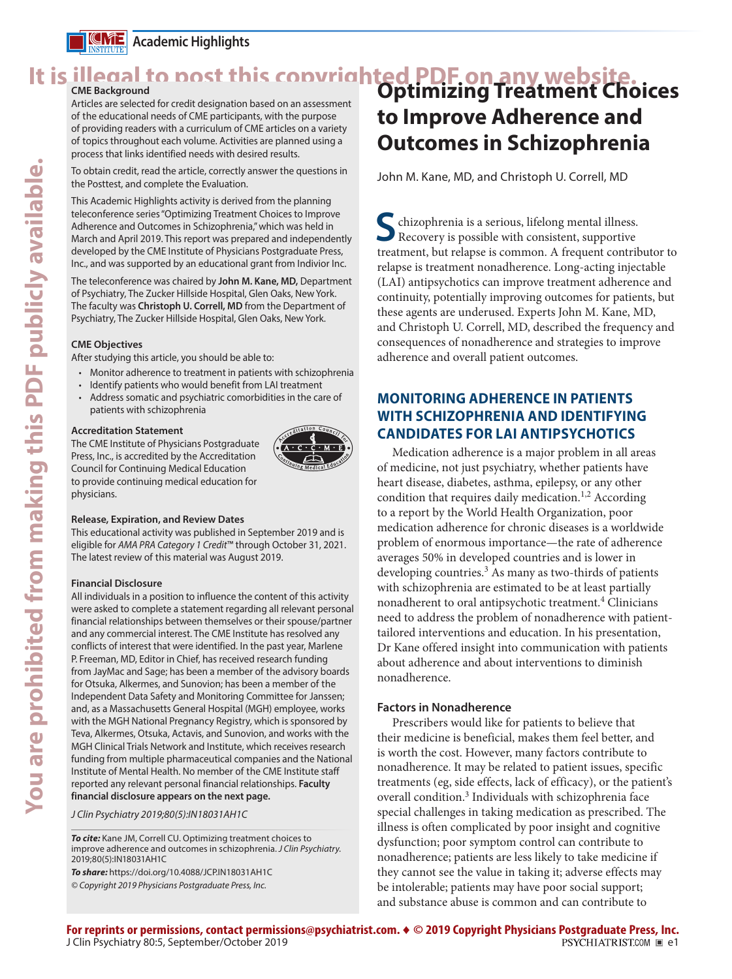

# It is illegal to post this copyrighted PDF on any website.<br>CME Background Linux business business optimizing Treatment Choices

Articles are selected for credit designation based on an assessment of the educational needs of CME participants, with the purpose of providing readers with a curriculum of CME articles on a variety of topics throughout each volume. Activities are planned using a process that links identified needs with desired results.

To obtain credit, read the article, correctly answer the questions in the Posttest, and complete the Evaluation.

This Academic Highlights activity is derived from the planning teleconference series "Optimizing Treatment Choices to Improve Adherence and Outcomes in Schizophrenia," which was held in March and April 2019. This report was prepared and independently developed by the CME Institute of Physicians Postgraduate Press, Inc., and was supported by an educational grant from Indivior Inc.

The teleconference was chaired by **John M. Kane, MD,** Department of Psychiatry, The Zucker Hillside Hospital, Glen Oaks, New York. The faculty was **Christoph U. Correll, MD** from the Department of Psychiatry, The Zucker Hillside Hospital, Glen Oaks, New York.

### **CME Objectives**

After studying this article, you should be able to:

- Monitor adherence to treatment in patients with schizophrenia
- Identify patients who would benefit from LAI treatment
- Address somatic and psychiatric comorbidities in the care of patients with schizophrenia

### **Accreditation Statement**

The CME Institute of Physicians Postgraduate Press, Inc., is accredited by the Accreditation Council for Continuing Medical Education to provide continuing medical education for physicians.



### **Release, Expiration, and Review Dates**

This educational activity was published in September 2019 and is eligible for *AMA PRA Category 1 Credit*™ through October 31, 2021. The latest review of this material was August 2019.

### **Financial Disclosure**

All individuals in a position to influence the content of this activity were asked to complete a statement regarding all relevant personal financial relationships between themselves or their spouse/partner and any commercial interest. The CME Institute has resolved any conflicts of interest that were identified. In the past year, Marlene P. Freeman, MD, Editor in Chief, has received research funding from JayMac and Sage; has been a member of the advisory boards for Otsuka, Alkermes, and Sunovion; has been a member of the Independent Data Safety and Monitoring Committee for Janssen; and, as a Massachusetts General Hospital (MGH) employee, works with the MGH National Pregnancy Registry, which is sponsored by Teva, Alkermes, Otsuka, Actavis, and Sunovion, and works with the MGH Clinical Trials Network and Institute, which receives research funding from multiple pharmaceutical companies and the National Institute of Mental Health. No member of the CME Institute staff reported any relevant personal financial relationships. **Faculty financial disclosure appears on the next page.**

*J Clin Psychiatry 2019;80(5):IN18031AH1C*

*To cite:* Kane JM, Correll CU. Optimizing treatment choices to improve adherence and outcomes in schizophrenia. *J Clin Psychiatry.*  2019;80(5):IN18031AH1C

*To share:* https://doi.org/10.4088/JCP.IN18031AH1C *© Copyright 2019 Physicians Postgraduate Press, Inc.*

# **to Improve Adherence and Outcomes in Schizophrenia**

John M. Kane, MD, and Christoph U. Correll, MD

**S**chizophrenia is a serious, lifelong mental illness. Recovery is possible with consistent, supportive treatment, but relapse is common. A frequent contributor to relapse is treatment nonadherence. Long-acting injectable (LAI) antipsychotics can improve treatment adherence and continuity, potentially improving outcomes for patients, but these agents are underused. Experts John M. Kane, MD, and Christoph U. Correll, MD, described the frequency and consequences of nonadherence and strategies to improve adherence and overall patient outcomes.

### **MONITORING ADHERENCE IN PATIENTS WITH SCHIZOPHRENIA AND IDENTIFYING CANDIDATES FOR LAI ANTIPSYCHOTICS**

Medication adherence is a major problem in all areas of medicine, not just psychiatry, whether patients have heart disease, diabetes, asthma, epilepsy, or any other condition that requires daily medication.<sup>1,2</sup> According to a report by the World Health Organization, poor medication adherence for chronic diseases is a worldwide problem of enormous importance—the rate of adherence averages 50% in developed countries and is lower in developing countries.<sup>3</sup> As many as two-thirds of patients with schizophrenia are estimated to be at least partially nonadherent to oral antipsychotic treatment.<sup>4</sup> Clinicians need to address the problem of nonadherence with patienttailored interventions and education. In his presentation, Dr Kane offered insight into communication with patients about adherence and about interventions to diminish nonadherence.

### **Factors in Nonadherence**

Prescribers would like for patients to believe that their medicine is beneficial, makes them feel better, and is worth the cost. However, many factors contribute to nonadherence. It may be related to patient issues, specific treatments (eg, side effects, lack of efficacy), or the patient's overall condition.<sup>3</sup> Individuals with schizophrenia face special challenges in taking medication as prescribed. The illness is often complicated by poor insight and cognitive dysfunction; poor symptom control can contribute to nonadherence; patients are less likely to take medicine if they cannot see the value in taking it; adverse effects may be intolerable; patients may have poor social support; and substance abuse is common and can contribute to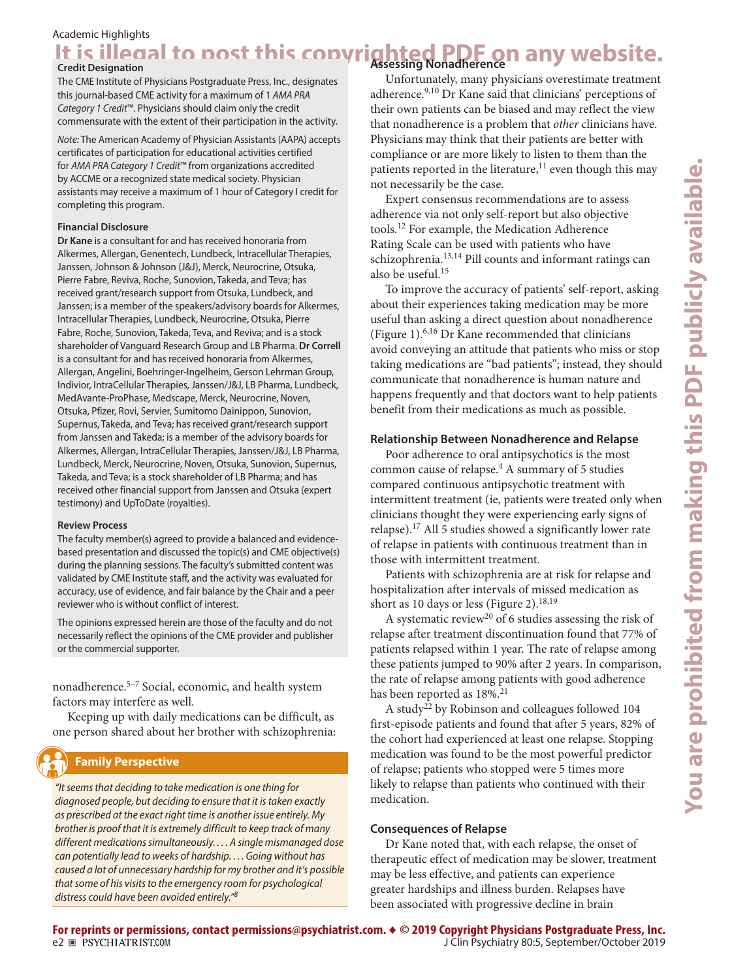### Academic Highlights

# It is illegal to post this copyrighted PDF on any website.

The CME Institute of Physicians Postgraduate Press, Inc., designates this journal-based CME activity for a maximum of 1 *AMA PRA Category 1 Credit*™. Physicians should claim only the credit commensurate with the extent of their participation in the activity.

*Note:* The American Academy of Physician Assistants (AAPA) accepts certificates of participation for educational activities certified for *AMA PRA Category 1 Credit*™ from organizations accredited by ACCME or a recognized state medical society. Physician assistants may receive a maximum of 1 hour of Category I credit for completing this program.

### **Financial Disclosure**

**Dr Kane** is a consultant for and has received honoraria from Alkermes, Allergan, Genentech, Lundbeck, Intracellular Therapies, Janssen, Johnson & Johnson (J&J), Merck, Neurocrine, Otsuka, Pierre Fabre, Reviva, Roche, Sunovion, Takeda, and Teva; has received grant/research support from Otsuka, Lundbeck, and Janssen; is a member of the speakers/advisory boards for Alkermes, Intracellular Therapies, Lundbeck, Neurocrine, Otsuka, Pierre Fabre, Roche, Sunovion, Takeda, Teva, and Reviva; and is a stock shareholder of Vanguard Research Group and LB Pharma. **Dr Correll** is a consultant for and has received honoraria from Alkermes, Allergan, Angelini, Boehringer-Ingelheim, Gerson Lehrman Group, Indivior, IntraCellular Therapies, Janssen/J&J, LB Pharma, Lundbeck, MedAvante-ProPhase, Medscape, Merck, Neurocrine, Noven, Otsuka, Pfizer, Rovi, Servier, Sumitomo Dainippon, Sunovion, Supernus, Takeda, and Teva; has received grant/research support from Janssen and Takeda; is a member of the advisory boards for Alkermes, Allergan, IntraCellular Therapies, Janssen/J&J, LB Pharma, Lundbeck, Merck, Neurocrine, Noven, Otsuka, Sunovion, Supernus, Takeda, and Teva; is a stock shareholder of LB Pharma; and has received other financial support from Janssen and Otsuka (expert testimony) and UpToDate (royalties).

### **Review Process**

The faculty member(s) agreed to provide a balanced and evidencebased presentation and discussed the topic(s) and CME objective(s) during the planning sessions. The faculty's submitted content was validated by CME Institute staff, and the activity was evaluated for accuracy, use of evidence, and fair balance by the Chair and a peer reviewer who is without conflict of interest.

The opinions expressed herein are those of the faculty and do not necessarily reflect the opinions of the CME provider and publisher or the commercial supporter.

nonadherence.5–7 Social, economic, and health system factors may interfere as well.

Keeping up with daily medications can be difficult, as one person shared about her brother with schizophrenia:

### **Family Perspective**

*"It seems that deciding to take medication is one thing for diagnosed people, but deciding to ensure that it is taken exactly as prescribed at the exact right time is another issue entirely. My brother is proof that it is extremely difficult to keep track of many different medications simultaneously. . . . A single mismanaged dose can potentially lead to weeks of hardship. . . . Going without has caused a lot of unnecessary hardship for my brother and it's possible that some of his visits to the emergency room for psychological distress could have been avoided entirely."<sup>8</sup>*

Unfortunately, many physicians overestimate treatment adherence.<sup>9,10</sup> Dr Kane said that clinicians' perceptions of their own patients can be biased and may reflect the view that nonadherence is a problem that *other* clinicians have. Physicians may think that their patients are better with compliance or are more likely to listen to them than the patients reported in the literature, $11$  even though this may not necessarily be the case.

Expert consensus recommendations are to assess adherence via not only self-report but also objective tools.12 For example, the [Medication Adherence](http://www.easacommunity.org/files/Medication%20Adherence%20Scale.pdf)  [Rating Scale](http://www.easacommunity.org/files/Medication%20Adherence%20Scale.pdf) can be used with patients who have schizophrenia.13,14 Pill counts and informant ratings can also be useful.<sup>15</sup>

To improve the accuracy of patients' self-report, asking about their experiences taking medication may be more useful than asking a direct question about nonadherence (Figure 1).6,16 Dr Kane recommended that clinicians avoid conveying an attitude that patients who miss or stop taking medications are "bad patients"; instead, they should communicate that nonadherence is human nature and happens frequently and that doctors want to help patients benefit from their medications as much as possible.

### **Relationship Between Nonadherence and Relapse**

Poor adherence to oral antipsychotics is the most common cause of relapse.<sup>4</sup> A summary of 5 studies compared continuous antipsychotic treatment with intermittent treatment (ie, patients were treated only when clinicians thought they were experiencing early signs of relapse).17 All 5 studies showed a significantly lower rate of relapse in patients with continuous treatment than in those with intermittent treatment.

Patients with schizophrenia are at risk for relapse and hospitalization after intervals of missed medication as short as 10 days or less (Figure 2).<sup>18,19</sup>

A systematic review<sup>20</sup> of 6 studies assessing the risk of relapse after treatment discontinuation found that 77% of patients relapsed within 1 year. The rate of relapse among these patients jumped to 90% after 2 years. In comparison, the rate of relapse among patients with good adherence has been reported as  $18\%.21$ 

A study<sup>22</sup> by Robinson and colleagues followed 104 first-episode patients and found that after 5 years, 82% of the cohort had experienced at least one relapse. Stopping medication was found to be the most powerful predictor of relapse; patients who stopped were 5 times more likely to relapse than patients who continued with their medication.

### **Consequences of Relapse**

Dr Kane noted that, with each relapse, the onset of therapeutic effect of medication may be slower, treatment may be less effective, and patients can experience greater hardships and illness burden. Relapses have been associated with progressive decline in brain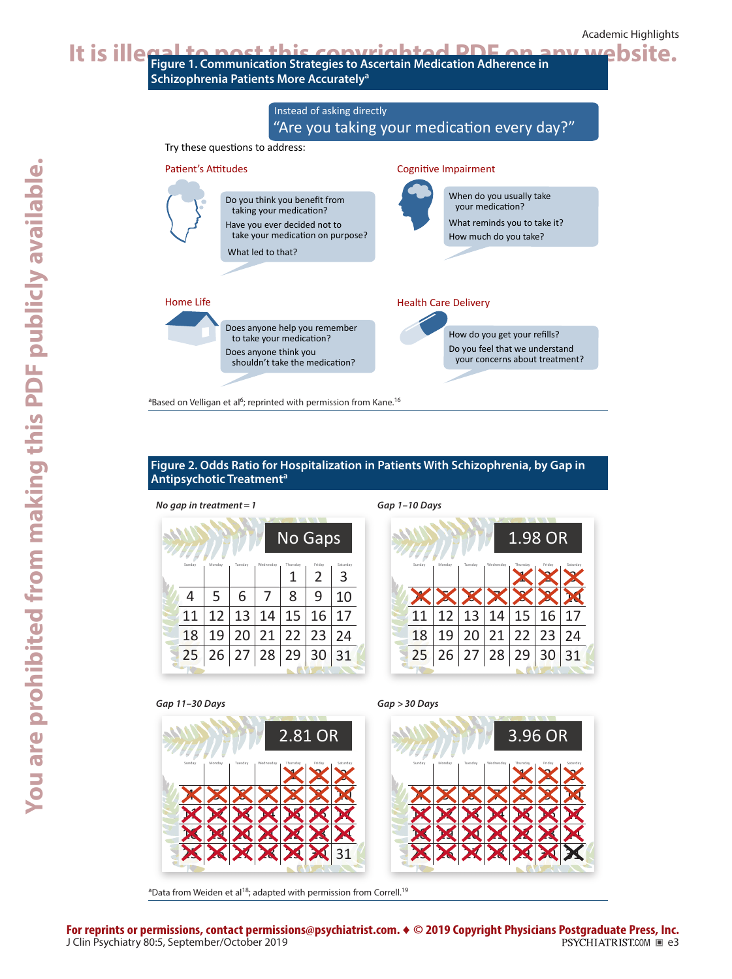

| Figure 2. Odds Ratio for Hospitalization in Patients With Schizophrenia, by Gap in |  |
|------------------------------------------------------------------------------------|--|
| Antipsychotic Treatment <sup>a</sup>                                               |  |

| יי- כ          |        |                      |         |           |          |        |          |
|----------------|--------|----------------------|---------|-----------|----------|--------|----------|
| <b>No Gaps</b> |        |                      |         |           |          |        |          |
|                | Sunday | Monday               | Tuesday | Wednesday | Thursday | Friday | Saturday |
|                |        |                      |         |           | 1        | 2      | 3        |
|                | 4      | 5                    | 6       | 7         | 8        | 9      | 10       |
|                | 11     | 12                   | 13      | 14        | 15       | 16     | 17       |
|                | 18     | 19                   |         | 20 21     | 22       | 23     | 24       |
|                |        | 25 26 27 28 29 30 31 |         |           |          |        |          |
|                |        |                      |         |           |          |        |          |

Have you ever decided not to take your medication on purpose?

Does anyone help you remember to take your medication? Does anyone think you shouldn't take the medication?

<sup>a</sup>Based on Velligan et al<sup>6</sup>; reprinted with permission from Kane.<sup>16</sup>

What led to that?

*No gap in treatment=1 Gap 1–10 Days*



What reminds you to take it? How much do you take?

How do you get your refills? Do you feel that we understand your concerns about treatment?

Health Care Delivery

### *Gap 11–30 Days Gap >30 Days*

Home Life



<sup>a</sup>Data from Weiden et al<sup>18</sup>; adapted with permission from Correll.<sup>19</sup>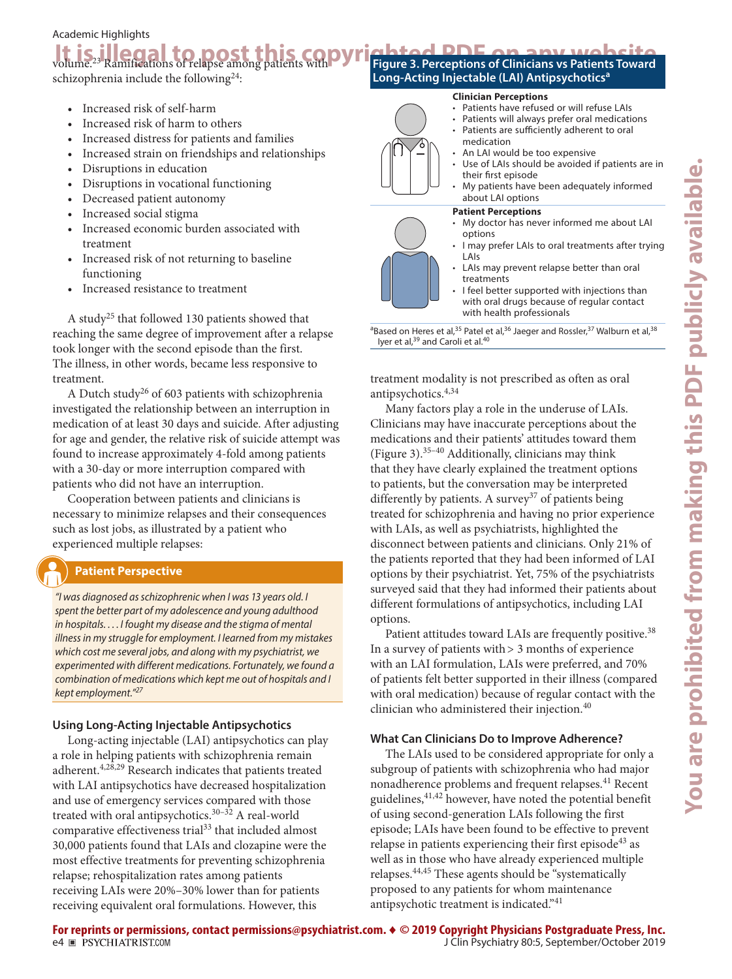### Academic Highlights

# **It is illegal to post this copyrighted PDF on any website**<br>volume.<sup>23</sup> Ramifications of relapse among patients with Figure 3. Perceptions of Clinicians vs Patients Toward

schizophrenia include the following<sup>24</sup>:

- Increased risk of self-harm
- Increased risk of harm to others
- Increased distress for patients and families
- Increased strain on friendships and relationships
- Disruptions in education
- Disruptions in vocational functioning
- Decreased patient autonomy
- Increased social stigma
- Increased economic burden associated with treatment
- Increased risk of not returning to baseline functioning
- Increased resistance to treatment

A study25 that followed 130 patients showed that reaching the same degree of improvement after a relapse took longer with the second episode than the first. The illness, in other words, became less responsive to treatment.

A Dutch study<sup>26</sup> of 603 patients with schizophrenia investigated the relationship between an interruption in medication of at least 30 days and suicide. After adjusting for age and gender, the relative risk of suicide attempt was found to increase approximately 4-fold among patients with a 30-day or more interruption compared with patients who did not have an interruption.

Cooperation between patients and clinicians is necessary to minimize relapses and their consequences such as lost jobs, as illustrated by a patient who experienced multiple relapses:

### **Patient Perspective**

*"I was diagnosed as schizophrenic when I was 13 years old. I spent the better part of my adolescence and young adulthood in hospitals. . . . I fought my disease and the stigma of mental illness in my struggle for employment. I learned from my mistakes which cost me several jobs, and along with my psychiatrist, we experimented with different medications. Fortunately, we found a combination of medications which kept me out of hospitals and I kept employment."27*

### **Using Long-Acting Injectable Antipsychotics**

Long-acting injectable (LAI) antipsychotics can play a role in helping patients with schizophrenia remain adherent.4,28,29 Research indicates that patients treated with LAI antipsychotics have decreased hospitalization and use of emergency services compared with those treated with oral antipsychotics.<sup>30-32</sup> A real-world comparative effectiveness trial<sup>33</sup> that included almost 30,000 patients found that LAIs and clozapine were the most effective treatments for preventing schizophrenia relapse; rehospitalization rates among patients receiving LAIs were 20%–30% lower than for patients receiving equivalent oral formulations. However, this

### **Figure 3. Perceptions of Clinicians vs Patients Toward Long-Acting Injectable (LAI) Antipsychoticsa**

### **Clinician Perceptions**

- Patients have refused or will refuse LAIs
- Patients will always prefer oral medications
- Patients are sufficiently adherent to oral medication
- An LAI would be too expensive
- Use of LAIs should be avoided if patients are in their first episode
- My patients have been adequately informed about LAI options

### **Patient Perceptions**

- My doctor has never informed me about LAI options • I may prefer LAIs to oral treatments after trying
- LAIs LAIs may prevent relapse better than oral treatments
- I feel better supported with injections than with oral drugs because of regular contact with health professionals

<sup>a</sup>Based on Heres et al,<sup>35</sup> Patel et al,<sup>36</sup> Jaeger and Rossler,<sup>37</sup> Walburn et al,<sup>38</sup> Iyer et al,<sup>39</sup> and Caroli et al.<sup>40</sup>

treatment modality is not prescribed as often as oral antipsychotics.4,34

Many factors play a role in the underuse of LAIs. Clinicians may have inaccurate perceptions about the medications and their patients' attitudes toward them (Figure 3). $35-40$  Additionally, clinicians may think that they have clearly explained the treatment options to patients, but the conversation may be interpreted differently by patients. A survey<sup>37</sup> of patients being treated for schizophrenia and having no prior experience with LAIs, as well as psychiatrists, highlighted the disconnect between patients and clinicians. Only 21% of the patients reported that they had been informed of LAI options by their psychiatrist. Yet, 75% of the psychiatrists surveyed said that they had informed their patients about different formulations of antipsychotics, including LAI options.

Patient attitudes toward LAIs are frequently positive.<sup>38</sup> In a survey of patients with  $> 3$  months of experience with an LAI formulation, LAIs were preferred, and 70% of patients felt better supported in their illness (compared with oral medication) because of regular contact with the clinician who administered their injection.<sup>40</sup>

### **What Can Clinicians Do to Improve Adherence?**

The LAIs used to be considered appropriate for only a subgroup of patients with schizophrenia who had major nonadherence problems and frequent relapses.<sup>41</sup> Recent guidelines,41,42 however, have noted the potential benefit of using second-generation LAIs following the first episode; LAIs have been found to be effective to prevent relapse in patients experiencing their first episode<sup>43</sup> as well as in those who have already experienced multiple relapses.44,45 These agents should be "systematically proposed to any patients for whom maintenance antipsychotic treatment is indicated."<sup>41</sup>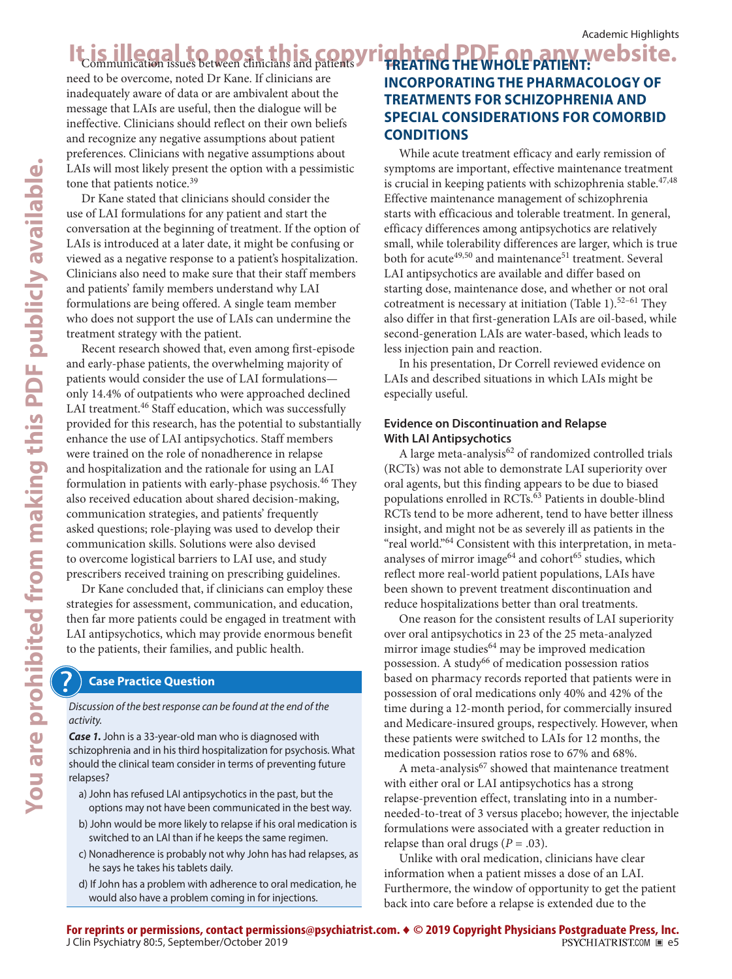need to be overcome, noted Dr Kane. If clinicians are inadequately aware of data or are ambivalent about the message that LAIs are useful, then the dialogue will be ineffective. Clinicians should reflect on their own beliefs and recognize any negative assumptions about patient preferences. Clinicians with negative assumptions about LAIs will most likely present the option with a pessimistic tone that patients notice.<sup>39</sup>

Dr Kane stated that clinicians should consider the use of LAI formulations for any patient and start the conversation at the beginning of treatment. If the option of LAIs is introduced at a later date, it might be confusing or viewed as a negative response to a patient's hospitalization. Clinicians also need to make sure that their staff members and patients' family members understand why LAI formulations are being offered. A single team member who does not support the use of LAIs can undermine the treatment strategy with the patient.

Recent research showed that, even among first-episode and early-phase patients, the overwhelming majority of patients would consider the use of LAI formulations only 14.4% of outpatients who were approached declined LAI treatment.<sup>46</sup> Staff education, which was successfully provided for this research, has the potential to substantially enhance the use of LAI antipsychotics. Staff members were trained on the role of nonadherence in relapse and hospitalization and the rationale for using an LAI formulation in patients with early-phase psychosis.<sup>46</sup> They also received education about shared decision-making, communication strategies, and patients' frequently asked questions; role-playing was used to develop their communication skills. Solutions were also devised to overcome logistical barriers to LAI use, and study prescribers received training on prescribing guidelines.

Dr Kane concluded that, if clinicians can employ these strategies for assessment, communication, and education, then far more patients could be engaged in treatment with LAI antipsychotics, which may provide enormous benefit to the patients, their families, and public health.

### **Case Practice Question**

*Discussion of the best response can be found at the end of the activity.*

*Case 1.* John is a 33-year-old man who is diagnosed with schizophrenia and in his third hospitalization for psychosis. What should the clinical team consider in terms of preventing future relapses?

- a) John has refused LAI antipsychotics in the past, but the options may not have been communicated in the best way.
- b) John would be more likely to relapse if his oral medication is switched to an LAI than if he keeps the same regimen.
- c) Nonadherence is probably not why John has had relapses, as he says he takes his tablets daily.
- d) If John has a problem with adherence to oral medication, he would also have a problem coming in for injections.

### It is illegal to post this copyrighted PDF on any website. **Rhted PDF QP ANY Website. INCORPORATING THE PHARMACOLOGY OF TREATMENTS FOR SCHIZOPHRENIA AND SPECIAL CONSIDERATIONS FOR COMORBID CONDITIONS**

While acute treatment efficacy and early remission of symptoms are important, effective maintenance treatment is crucial in keeping patients with schizophrenia stable.<sup>47,48</sup> Effective maintenance management of schizophrenia starts with efficacious and tolerable treatment. In general, efficacy differences among antipsychotics are relatively small, while tolerability differences are larger, which is true both for acute<sup>49,50</sup> and maintenance<sup>51</sup> treatment. Several LAI antipsychotics are available and differ based on starting dose, maintenance dose, and whether or not oral cotreatment is necessary at initiation (Table 1).<sup>52-61</sup> They also differ in that first-generation LAIs are oil-based, while second-generation LAIs are water-based, which leads to less injection pain and reaction.

In his presentation, Dr Correll reviewed evidence on LAIs and described situations in which LAIs might be especially useful.

### **Evidence on Discontinuation and Relapse With LAI Antipsychotics**

A large meta-analysis<sup>62</sup> of randomized controlled trials (RCTs) was not able to demonstrate LAI superiority over oral agents, but this finding appears to be due to biased populations enrolled in RCTs.<sup>63</sup> Patients in double-blind RCTs tend to be more adherent, tend to have better illness insight, and might not be as severely ill as patients in the "real world."<sup>64</sup> Consistent with this interpretation, in metaanalyses of mirror image<sup>64</sup> and cohort<sup>65</sup> studies, which reflect more real-world patient populations, LAIs have been shown to prevent treatment discontinuation and reduce hospitalizations better than oral treatments.

One reason for the consistent results of LAI superiority over oral antipsychotics in 23 of the 25 meta-analyzed mirror image studies<sup>64</sup> may be improved medication possession. A study<sup>66</sup> of medication possession ratios based on pharmacy records reported that patients were in possession of oral medications only 40% and 42% of the time during a 12-month period, for commercially insured and Medicare-insured groups, respectively. However, when these patients were switched to LAIs for 12 months, the medication possession ratios rose to 67% and 68%.

A meta-analysis<sup>67</sup> showed that maintenance treatment with either oral or LAI antipsychotics has a strong relapse-prevention effect, translating into in a numberneeded-to-treat of 3 versus placebo; however, the injectable formulations were associated with a greater reduction in relapse than oral drugs  $(P = .03)$ .

Unlike with oral medication, clinicians have clear information when a patient misses a dose of an LAI. Furthermore, the window of opportunity to get the patient back into care before a relapse is extended due to the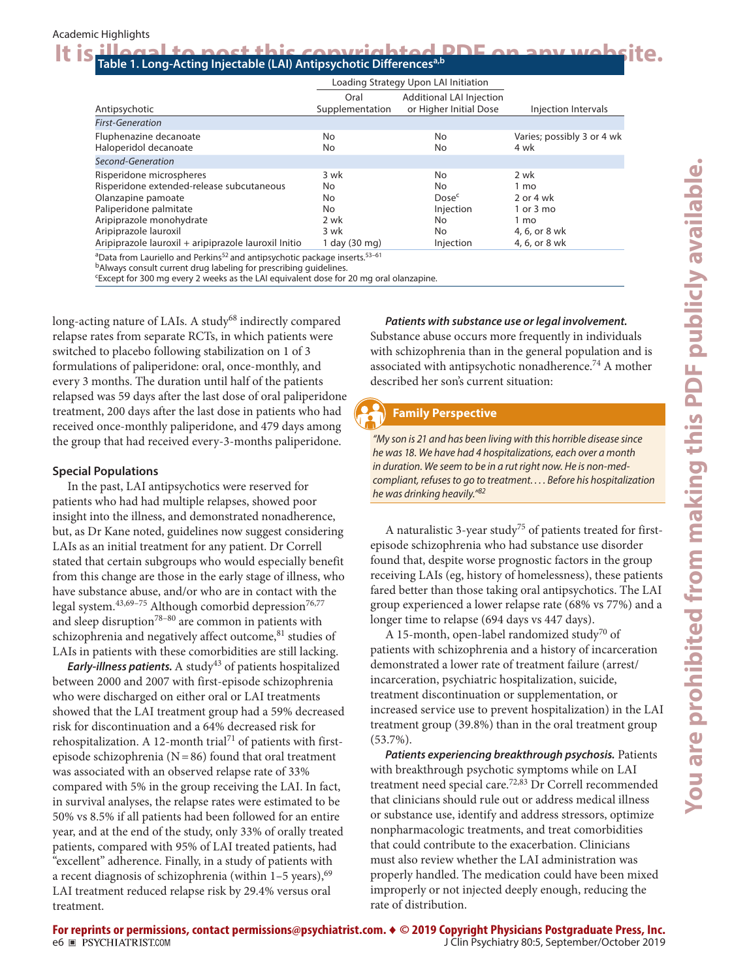## It is illegal to post this copyrighted PDF on any website.

|                                                                                                                                                                                                                                    | Loading Strategy Upon LAI Initiation                            |                                                                       |                                                                                                 |
|------------------------------------------------------------------------------------------------------------------------------------------------------------------------------------------------------------------------------------|-----------------------------------------------------------------|-----------------------------------------------------------------------|-------------------------------------------------------------------------------------------------|
| Antipsychotic                                                                                                                                                                                                                      | Oral<br>Supplementation                                         | <b>Additional LAI Injection</b><br>or Higher Initial Dose             | Injection Intervals                                                                             |
| <b>First-Generation</b>                                                                                                                                                                                                            |                                                                 |                                                                       |                                                                                                 |
| Fluphenazine decanoate<br>Haloperidol decanoate                                                                                                                                                                                    | <b>No</b><br>No                                                 | No<br>No                                                              | Varies; possibly 3 or 4 wk<br>4 wk                                                              |
| Second-Generation                                                                                                                                                                                                                  |                                                                 |                                                                       |                                                                                                 |
| Risperidone microspheres<br>Risperidone extended-release subcutaneous<br>Olanzapine pamoate<br>Paliperidone palmitate<br>Aripiprazole monohydrate<br>Aripiprazole lauroxil<br>Aripiprazole lauroxil + aripiprazole lauroxil Initio | 3 wk<br>No.<br>No<br><b>No</b><br>2 wk<br>3 wk<br>1 day (30 mg) | No<br>No<br>Dose <sup>c</sup><br>Injection<br>No.<br>No.<br>Injection | 2 wk<br>1 <sub>mo</sub><br>2 or 4 wk<br>$1$ or $3$ mo<br>1 mo<br>4, 6, or 8 wk<br>4, 6, or 8 wk |
| <sup>a</sup> Data from Lauriello and Perkins <sup>52</sup> and antipsychotic package inserts. <sup>53-61</sup>                                                                                                                     |                                                                 |                                                                       |                                                                                                 |

bAlways consult current drug labeling for prescribing guidelines.

c Except for 300 mg every 2 weeks as the LAI equivalent dose for 20 mg oral olanzapine.

long-acting nature of LAIs. A study<sup>68</sup> indirectly compared relapse rates from separate RCTs, in which patients were switched to placebo following stabilization on 1 of 3 formulations of paliperidone: oral, once-monthly, and every 3 months. The duration until half of the patients relapsed was 59 days after the last dose of oral paliperidone treatment, 200 days after the last dose in patients who had received once-monthly paliperidone, and 479 days among the group that had received every-3-months paliperidone.

### **Special Populations**

In the past, LAI antipsychotics were reserved for patients who had had multiple relapses, showed poor insight into the illness, and demonstrated nonadherence, but, as Dr Kane noted, guidelines now suggest considering LAIs as an initial treatment for any patient. Dr Correll stated that certain subgroups who would especially benefit from this change are those in the early stage of illness, who have substance abuse, and/or who are in contact with the legal system.<sup>43,69-75</sup> Although comorbid depression<sup>76,77</sup> and sleep disruption<sup>78-80</sup> are common in patients with schizophrenia and negatively affect outcome, 81 studies of LAIs in patients with these comorbidities are still lacking.

**Early-illness patients.** A study<sup>43</sup> of patients hospitalized between 2000 and 2007 with first-episode schizophrenia who were discharged on either oral or LAI treatments showed that the LAI treatment group had a 59% decreased risk for discontinuation and a 64% decreased risk for rehospitalization. A 12-month trial<sup>71</sup> of patients with firstepisode schizophrenia ( $N=86$ ) found that oral treatment was associated with an observed relapse rate of 33% compared with 5% in the group receiving the LAI. In fact, in survival analyses, the relapse rates were estimated to be 50% vs 8.5% if all patients had been followed for an entire year, and at the end of the study, only 33% of orally treated patients, compared with 95% of LAI treated patients, had "excellent" adherence. Finally, in a study of patients with a recent diagnosis of schizophrenia (within  $1-5$  years),  $69$ LAI treatment reduced relapse risk by 29.4% versus oral treatment.

*Patients with substance use or legal involvement.*

Substance abuse occurs more frequently in individuals with schizophrenia than in the general population and is associated with antipsychotic nonadherence.74 A mother described her son's current situation:

### **Family Perspective**

*"My son is 21 and has been living with this horrible disease since he was 18. We have had 4 hospitalizations, each over a month in duration. We seem to be in a rut right now. He is non-medcompliant, refuses to go to treatment. . . . Before his hospitalization he was drinking heavily."<sup>82</sup>*

A naturalistic 3-year study<sup>75</sup> of patients treated for firstepisode schizophrenia who had substance use disorder found that, despite worse prognostic factors in the group receiving LAIs (eg, history of homelessness), these patients fared better than those taking oral antipsychotics. The LAI group experienced a lower relapse rate (68% vs 77%) and a longer time to relapse (694 days vs 447 days).

A 15-month, open-label randomized study<sup>70</sup> of patients with schizophrenia and a history of incarceration demonstrated a lower rate of treatment failure (arrest/ incarceration, psychiatric hospitalization, suicide, treatment discontinuation or supplementation, or increased service use to prevent hospitalization) in the LAI treatment group (39.8%) than in the oral treatment group (53.7%).

*Patients experiencing breakthrough psychosis.* Patients with breakthrough psychotic symptoms while on LAI treatment need special care.<sup>72,83</sup> Dr Correll recommended that clinicians should rule out or address medical illness or substance use, identify and address stressors, optimize nonpharmacologic treatments, and treat comorbidities that could contribute to the exacerbation. Clinicians must also review whether the LAI administration was properly handled. The medication could have been mixed improperly or not injected deeply enough, reducing the rate of distribution.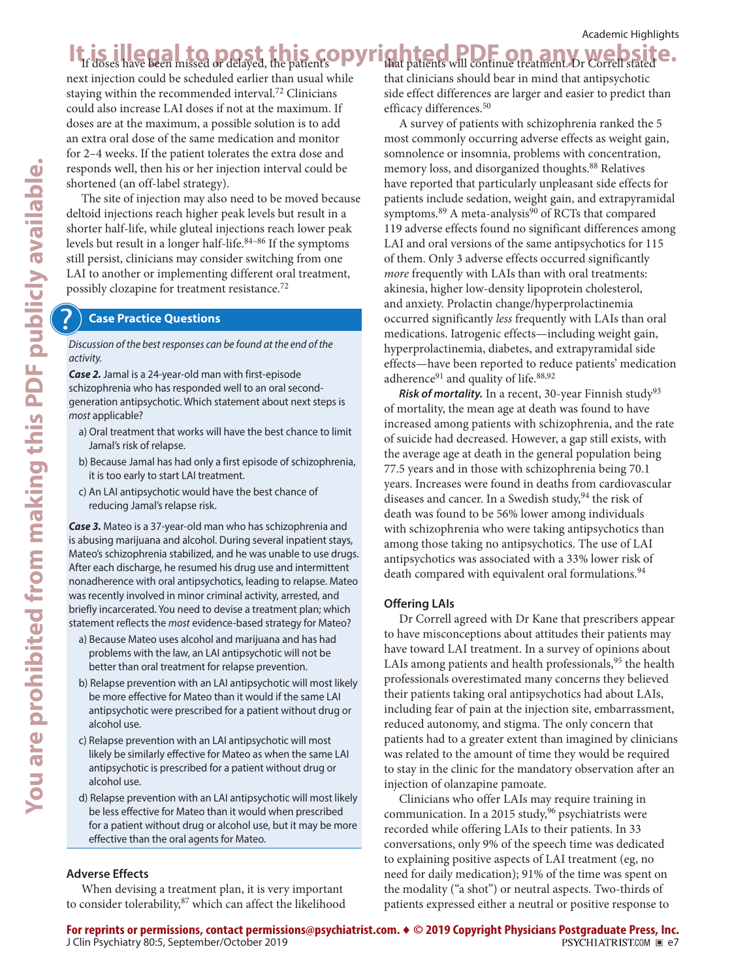### It is illegal to post this copyrighted PDF on any website. that patients will continue treatment. Dr Correll stated

next injection could be scheduled earlier than usual while staying within the recommended interval.<sup>72</sup> Clinicians could also increase LAI doses if not at the maximum. If doses are at the maximum, a possible solution is to add an extra oral dose of the same medication and monitor for 2–4 weeks. If the patient tolerates the extra dose and responds well, then his or her injection interval could be shortened (an off-label strategy).

The site of injection may also need to be moved because deltoid injections reach higher peak levels but result in a shorter half-life, while gluteal injections reach lower peak levels but result in a longer half-life. $84-86$  If the symptoms still persist, clinicians may consider switching from one LAI to another or implementing different oral treatment, possibly clozapine for treatment resistance.<sup>72</sup>

### **Case Practice Questions**

*Discussion of the best responses can be found at the end of the activity.*

*Case 2.* Jamal is a 24-year-old man with first-episode schizophrenia who has responded well to an oral secondgeneration antipsychotic. Which statement about next steps is *most* applicable?

- a) Oral treatment that works will have the best chance to limit Jamal's risk of relapse.
- b) Because Jamal has had only a first episode of schizophrenia, it is too early to start LAI treatment.
- c) An LAI antipsychotic would have the best chance of reducing Jamal's relapse risk.

*Case 3.* Mateo is a 37-year-old man who has schizophrenia and is abusing marijuana and alcohol. During several inpatient stays, Mateo's schizophrenia stabilized, and he was unable to use drugs. After each discharge, he resumed his drug use and intermittent nonadherence with oral antipsychotics, leading to relapse. Mateo was recently involved in minor criminal activity, arrested, and briefly incarcerated. You need to devise a treatment plan; which statement reflects the *most* evidence-based strategy for Mateo?

- a) Because Mateo uses alcohol and marijuana and has had problems with the law, an LAI antipsychotic will not be better than oral treatment for relapse prevention.
- b) Relapse prevention with an LAI antipsychotic will most likely be more effective for Mateo than it would if the same LAI antipsychotic were prescribed for a patient without drug or alcohol use.
- c) Relapse prevention with an LAI antipsychotic will most likely be similarly effective for Mateo as when the same LAI antipsychotic is prescribed for a patient without drug or alcohol use.
- d) Relapse prevention with an LAI antipsychotic will most likely be less effective for Mateo than it would when prescribed for a patient without drug or alcohol use, but it may be more effective than the oral agents for Mateo.

### **Adverse Effects**

When devising a treatment plan, it is very important to consider tolerability, <sup>87</sup> which can affect the likelihood that clinicians should bear in mind that antipsychotic side effect differences are larger and easier to predict than efficacy differences.<sup>50</sup>

A survey of patients with schizophrenia ranked the 5 most commonly occurring adverse effects as weight gain, somnolence or insomnia, problems with concentration, memory loss, and disorganized thoughts.<sup>88</sup> Relatives have reported that particularly unpleasant side effects for patients include sedation, weight gain, and extrapyramidal symptoms. $89$  A meta-analysis $90$  of RCTs that compared 119 adverse effects found no significant differences among LAI and oral versions of the same antipsychotics for 115 of them. Only 3 adverse effects occurred significantly *more* frequently with LAIs than with oral treatments: akinesia, higher low-density lipoprotein cholesterol, and anxiety. Prolactin change/hyperprolactinemia occurred significantly *less* frequently with LAIs than oral medications. Iatrogenic effects—including weight gain, hyperprolactinemia, diabetes, and extrapyramidal side effects—have been reported to reduce patients' medication adherence $91$  and quality of life. $88,92$ 

*Risk of mortality.* In a recent, 30-year Finnish study<sup>93</sup> of mortality, the mean age at death was found to have increased among patients with schizophrenia, and the rate of suicide had decreased. However, a gap still exists, with the average age at death in the general population being 77.5 years and in those with schizophrenia being 70.1 years. Increases were found in deaths from cardiovascular diseases and cancer. In a Swedish study,  $94$  the risk of death was found to be 56% lower among individuals with schizophrenia who were taking antipsychotics than among those taking no antipsychotics. The use of LAI antipsychotics was associated with a 33% lower risk of death compared with equivalent oral formulations.<sup>94</sup>

### **Offering LAIs**

Dr Correll agreed with Dr Kane that prescribers appear to have misconceptions about attitudes their patients may have toward LAI treatment. In a survey of opinions about LAIs among patients and health professionals,  $95$  the health professionals overestimated many concerns they believed their patients taking oral antipsychotics had about LAIs, including fear of pain at the injection site, embarrassment, reduced autonomy, and stigma. The only concern that patients had to a greater extent than imagined by clinicians was related to the amount of time they would be required to stay in the clinic for the mandatory observation after an injection of olanzapine pamoate.

Clinicians who offer LAIs may require training in communication. In a 2015 study,  $96$  psychiatrists were recorded while offering LAIs to their patients. In 33 conversations, only 9% of the speech time was dedicated to explaining positive aspects of LAI treatment (eg, no need for daily medication); 91% of the time was spent on the modality ("a shot") or neutral aspects. Two-thirds of patients expressed either a neutral or positive response to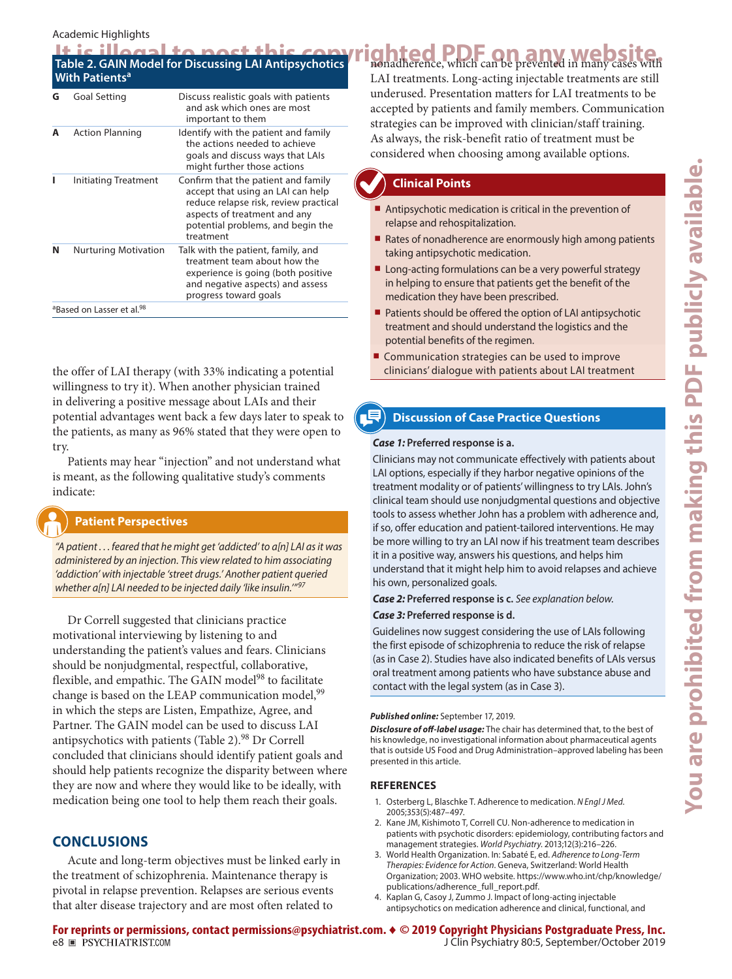### Academic Highlights

<sup>a</sup>Based on Lasser et al.<sup>98</sup>

|   | <b>With Patients<sup>a</sup></b> |                                                                                                                                                                                                     | It is illegal to nost this comyrighted PDF on any website.<br>LAI treatments. Long-acting injectable treatments are still                                                           |  |  |  |  |
|---|----------------------------------|-----------------------------------------------------------------------------------------------------------------------------------------------------------------------------------------------------|-------------------------------------------------------------------------------------------------------------------------------------------------------------------------------------|--|--|--|--|
| G | <b>Goal Setting</b>              | Discuss realistic goals with patients<br>and ask which ones are most<br>important to them                                                                                                           | underused. Presentation matters for LAI treatments to be<br>accepted by patients and family members. Communication<br>strategies can be improved with clinician/staff training.     |  |  |  |  |
| A | <b>Action Planning</b>           | Identify with the patient and family<br>the actions needed to achieve<br>goals and discuss ways that LAIs<br>might further those actions                                                            | As always, the risk-benefit ratio of treatment must be<br>considered when choosing among available options.                                                                         |  |  |  |  |
|   | Initiating Treatment             | Confirm that the patient and family<br>accept that using an LAI can help<br>reduce relapse risk, review practical<br>aspects of treatment and any<br>potential problems, and begin the<br>treatment | <b>Clinical Points</b><br>Antipsychotic medication is critical in the prevention of<br>relapse and rehospitalization.<br>■ Rates of nonadherence are enormously high among patients |  |  |  |  |
| N | <b>Nurturing Motivation</b>      | Talk with the patient, family, and<br>treatment team about how the<br>experience is going (both positive                                                                                            | taking antipsychotic medication.<br>■ Long-acting formulations can be a very powerful strategy                                                                                      |  |  |  |  |

and negative aspects) and assess

progress toward goals

the offer of LAI therapy (with 33% indicating a potential willingness to try it). When another physician trained in delivering a positive message about LAIs and their potential advantages went back a few days later to speak to the patients, as many as 96% stated that they were open to try.

Patients may hear "injection" and not understand what is meant, as the following qualitative study's comments indicate:

### **Patient Perspectives**

*"A patient . . . feared that he might get 'addicted' to a[n] LAI as it was administered by an injection. This view related to him associating 'addiction' with injectable 'street drugs.' Another patient queried whether a[n] LAI needed to be injected daily 'like insulin.'"<sup>97</sup>*

Dr Correll suggested that clinicians practice motivational interviewing by listening to and understanding the patient's values and fears. Clinicians should be nonjudgmental, respectful, collaborative, flexible, and empathic. The GAIN model<sup>98</sup> to facilitate change is based on the LEAP communication model,<sup>99</sup> in which the steps are Listen, Empathize, Agree, and Partner. The GAIN model can be used to discuss LAI antipsychotics with patients (Table 2).<sup>98</sup> Dr Correll concluded that clinicians should identify patient goals and should help patients recognize the disparity between where they are now and where they would like to be ideally, with medication being one tool to help them reach their goals.

### **CONCLUSIONS**

Acute and long-term objectives must be linked early in the treatment of schizophrenia. Maintenance therapy is pivotal in relapse prevention. Relapses are serious events that alter disease trajectory and are most often related to

### **Clinical Points**

- Antipsychotic medication is critical in the prevention of relapse and rehospitalization.
- Rates of nonadherence are enormously high among patients taking antipsychotic medication.
- Long-acting formulations can be a very powerful strategy in helping to ensure that patients get the benefit of the medication they have been prescribed.
- Patients should be offered the option of LAI antipsychotic treatment and should understand the logistics and the potential benefits of the regimen.
- Communication strategies can be used to improve clinicians' dialogue with patients about LAI treatment

### **Discussion of Case Practice Questions**

### *Case 1:* **Preferred response is a.**

Clinicians may not communicate effectively with patients about LAI options, especially if they harbor negative opinions of the treatment modality or of patients' willingness to try LAIs. John's clinical team should use nonjudgmental questions and objective tools to assess whether John has a problem with adherence and, if so, offer education and patient-tailored interventions. He may be more willing to try an LAI now if his treatment team describes it in a positive way, answers his questions, and helps him understand that it might help him to avoid relapses and achieve his own, personalized goals.

### *Case 2:* **Preferred response is c.** *See explanation below.*

### *Case 3:* **Preferred response is d.**

Guidelines now suggest considering the use of LAIs following the first episode of schizophrenia to reduce the risk of relapse (as in Case 2). Studies have also indicated benefits of LAIs versus oral treatment among patients who have substance abuse and contact with the legal system (as in Case 3).

### *Published online:* September 17, 2019.

*Disclosure of off-label usage:* The chair has determined that, to the best of his knowledge, no investigational information about pharmaceutical agents that is outside US Food and Drug Administration–approved labeling has been presented in this article.

### **REFERENCES**

- 1. Osterberg L, Blaschk[e](https://doi.org/10.1056/NEJMra050100) T. Adherence to medication. *N Engl J Med*. 2005;353(5):487-497.
- 2. Kane JM, Kishimoto T, Correll CU. Non-adherence to medication in patients with psychotic disorders: epidemiology, contributing factors and management strategies. World Psychiatry. 2013;12(3):216-226.
- 3. World Health Organization. In: Sabaté E, ed. *Adherence to Long-Term Therapies: Evidence for Action*. Geneva, Switzerland: World Health Organization; 2003. WHO website. [https://www.who.int/chp/knowledge/](https://www.who.int/chp/knowledge/publications/adherence_full_report.pdf) [publications/adherence\\_full\\_report.pdf.](https://www.who.int/chp/knowledge/publications/adherence_full_report.pdf)
- 4. Kaplan G, Casoy J, Zummo J. Impact of long-acting injectable antipsychotics on medication adherence and clinical, functional, and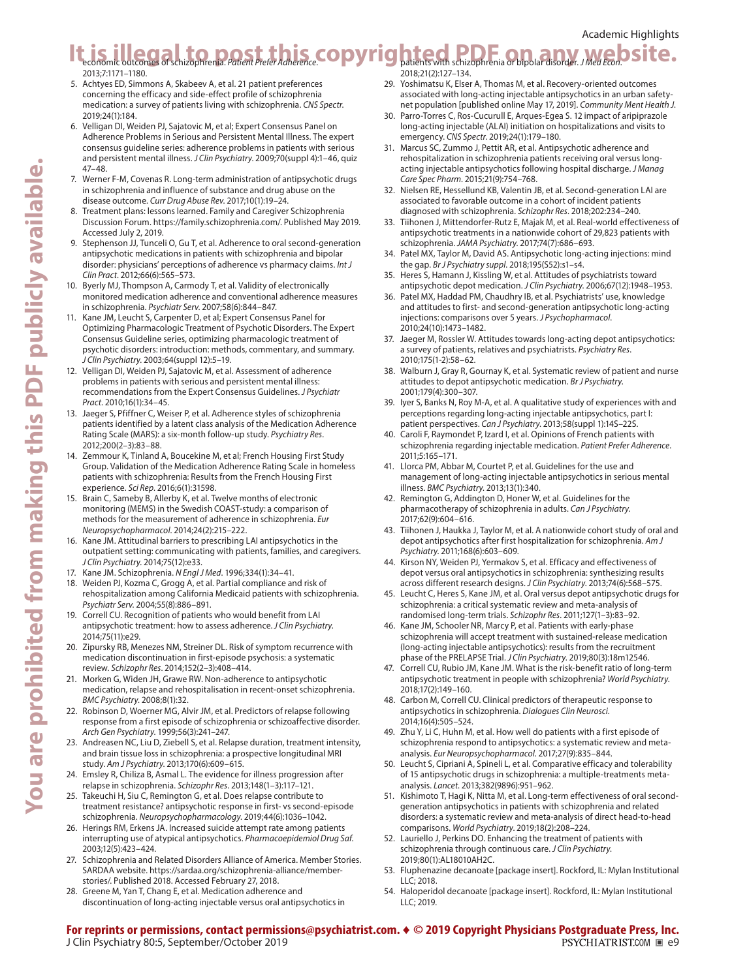### It is illega*r* to posit this and the part of the secono[m](https://doi.org/10.2147/PPA.S53795)ic or any of the contract of the second of the second of the second of the second of the second of the second of the second of the second of the second of the second Academic Highlights

2013;7:1171-1180.

- 5. Achtyes ED, Simmons A, Skabeev A, et al. 21 patient preferences concerning the efficacy and side-effect profile of schizophrenia medication: a [su](https://doi.org/10.1017/S1092852919000154)rvey of patients living with schizophrenia. *CNS Spectr*. 2019:24(1):184.
- 6. Velligan DI, Weiden PJ, Sajatovic M, et al; Expert Consensus Panel on Adherence Problems in Serious and Persistent Mental Illness. The expert consensus guideline series: adherence problems in patients with serious and persistent mental illness. *J Clin Psychiatry*. 2009;70(suppl 4):1–46, quiz  $47 - 48.$
- 7. Werner F-M, Covenas R. Long-term administration of antipsychotic drugs in schizophrenia and influence of substance and drug abuse on the disease outcome. *Curr Drug Abuse Rev*. 2017;10(1):19-24.
- 8. Treatment plans: lessons learned. Family and Caregiver Schizophrenia Discussion Forum. <https://family.schizophrenia.com/>. Published May 2019. Accessed July 2, 2019.
- 9. Stephenson JJ, Tunceli O, Gu T, et al. Adherence to oral second-generation antipsychotic medications in patients with schizophrenia and bipolar disorder: physicians' perceptions of adherence vs pharmacy claims. *Int J Clin Pract.* 2012:66(6):565-573.
- 10. Byerly MJ, Thompson A, Carmody T, et al. Validity of electronically monitored medication adherence and conventional adherence measures in schizophrenia. *Psychiatr Serv.* 2007;58(6):844-847.
- 11. Kane JM, Leucht S, Carpenter D, et al; Expert Consensus Panel for Optimizing Pharmacologic Treatment of Psychotic Disorders. The Expert Consensus Guideline series, optimizing pharmacologic treatment of psychotic disorders: introduction: methods, commentary, and summary. *J Clin Psychiatry.* 2003;64(suppl 12):5-19.
- 12. Velligan DI, Weiden PJ, Sajatovic M, et al. Assessment of adherence problems in patients with serious and persistent mental illness: recommendations from the Expert Consensus Guidelines. *J Psychiatr*  Pract. 2010;16(1):34-45.
- 13. Jaeger S, Pfiffner C, Weiser P, et al. Adherence styles of schizophrenia patients identified by a latent class analysis of the Medication Adherence Rating Scale (MARS): a six-month follow-up study. *Psychiatry Res*. 2012;200(2-3):83-88.
- 14. Zemmour K, Tinland A, Boucekine M, et al; French Housing First Study Group. Validation of the Medication Adherence Rating Scale in homeless patients with schizophrenia: Results from the French Housing First experience. *Sci Rep*. 2016;6(1):31598.
- 15. Brain C, Sameby B, Allerby K, et al. Twelve months of electronic monitoring (MEMS) in the Swedish COAST-study: a comparison of methods for the measurement of adherenc[e](https://doi.org/10.1016/j.euroneuro.2013.11.013) in schizophrenia. *Eur Neuropsychopharmacol.* 2014;24(2):215-222.
- 16. Kane JM. Attitudinal barriers to prescribing LAI antipsychotics in the outpatient setting: communicating with patients, families, and caregivers. *J Clin Psychiatry*. 2014;75(12):e33.
- 17. Kane JM. Schizophrenia. *N Engl J Med*. 1996;334(1):34-41.
- 18. Weiden PJ, Kozma C, Grogg A, et al. Partial compliance and risk of rehospitalization among California Medicaid patients with schizophrenia. Psychiatr Serv. 2004;55(8):886-891.
- 19. Correll CU. Recognition of patients who would benefit from LAI antipsychotic treatment: how to assess adherence. *J Clin Psychiatry*. 2014;75(11):e29.
- 20. Zipursky RB, Menezes NM, Streiner DL. Risk of symptom recurrence with medication discontinuation in first-episode [ps](https://doi.org/10.1016/j.schres.2013.08.001)ychosis: a systematic review. *Schizophr Res.* 2014;152(2-3):408-414.
- 21. Morken G, Widen JH, Grawe RW. Non-adherence to antipsychotic medication, relapse and rehospitalisation in recent-onset schizophrenia. *BMC Psychiatry*. 2008;8(1):32.
- 22. Robinson D, Woerner MG, Alvir JM, et al. Predictors of relapse following response from a first episode of schizo[ph](https://doi.org/10.1001/archpsyc.56.3.241)renia or schizoaffective disorder. Arch Gen Psychiatry. 1999;56(3):241-247.
- 23. Andreasen NC, Liu D, Ziebell S, et al. Relapse duration, treatment intensity, and brain tissue loss in schizophrenia: a prospective longitudinal MRI study. Am J Psychiatry. 2013;170(6):609-615.
- 24. Emsley R, Chiliza B, Asmal L. The evidence for illness progressi[o](https://doi.org/10.1016/j.schres.2013.05.016)n after relapse in schizophrenia. Schizophr Res. 2013;148(1-3):117-121.
- Takeuchi H, Siu C, Remington G, et al. Does relapse contribute to treatment resistance? antipsychotic response in first- vs second-episode schizophrenia. Neuropsychopharmacology. 2019;44(6):1036-1042.
- 26. Herings RM, Erkens JA. Increased suicide attempt rate among patients interrupting use of atypical antipsychotics. *Pharmacoepidemiol Drug Saf*. 2003;12(5):423-424.
- 27. Schizophrenia and Related Disorders Alliance of America. Member Stories. SARDAA website. [https://sardaa.org/schizophrenia-alliance/member](https://sardaa.org/schizophrenia-alliance/member-stories/)[stories/.](https://sardaa.org/schizophrenia-alliance/member-stories/) Published 2018. Accessed February 27, 2018.
- 28. Greene M, Yan T, Chang E, et al. Medication adherence and discontinuation of long-acting injectable versus oral antipsychotics in

2018;21(2):127-134. 29. Yoshimatsu K, Elser A, Thomas M, et al. Recovery-oriented outcomes associated with long-acting injectable antipsychotics in an urban safetynet population [published online May 17, 2019]. *Community Ment Health J.* 

- 30. Parro-Torres C, Ros-Cucurull E, Arques-Egea S. 12 impact of aripiprazole long-acting injectable (ALAI) initiation on hospitalizations and visits to emergency. *CNS Spectr*. 2019;24(1):179-180.
- 31. Marcus SC, Zummo J, Pettit AR, et al. Antipsychotic adherence and rehospitalization in schizophrenia patients receiving oral versus longacting injectable antipsychotics follo[w](https://doi.org/10.18553/jmcp.2015.21.9.754)ing hospital discharge. *J Manag*  Care Spec Pharm. 2015;21(9):754-768.
- 32. Nielsen RE, Hessellund KB, Valentin JB, et al. Second-generation LAI are associated to favorable outcome in a cohort of incident patients diagnosed with schizophrenia. *Schizophr Res*. 2018;202:234-240.
- 33. Tiihonen J, Mittendorfer-Rutz E, Majak M, et al. Real-world effectiveness of antipsychotic treatments in a nationwide cohort of 29,823 patients with schizophrenia. JAMA Psychiatry. 2017;74(7):686-693.
- 34. Patel MX, Taylor M, David AS. Antipsychotic long-acting injections: mind the gap. *Br J Psychiatry suppl.* 2018;195(S52):s1-s4.
- 35. Heres S, Hamann J, Kissling W, et al. Attitudes of psychiatrists toward antipsychotic depot medication. *J Clin Psychiatry*. 2006;67(12):1948-1953.
- 36. Patel MX, Haddad PM, Chaudhry IB, et al. Psychiatrists' use, knowledge and attitudes to first- and second-generation antipsychotic long-acting injections: comparison[s](https://doi.org/10.1177/0269881109104882) over 5 years. *J Psychopharmacol*. 2010;24(10):1473-1482.
- Jaeger M, Rossler W. Attitudes towards long-acting depot antipsychotics: a survey of patients, relatives and psychiatrists. *Psychiatry Res*. 2010;175(1-2):58-62.
- 38. Walburn J, Gray R, Gournay K, et al. Systematic review of patient and nurse attitudes to depot antipsychotic medication. *Br J Psychiatry*. 2001:179(4):300-307.
- 39. Iyer S, Banks N, Roy M-A, et al. A qualitative study of experiences with and perceptions regarding long-acting injectable antipsychotics, part I: patient perspectives. *Can J Psychiatry*. 2013;58(suppl 1):14S-22S.
- 40. Caroli F, Raymondet P, Izard I, et al. Opinions of French patients with schizophrenia regarding injectable medication. *Patient Prefer Adherence*. 2011:5:165-171.
- 41. Llorca PM, Abbar M, Courtet P, et al. Guidelines for the use and management of long-acting injectable antipsychotics in serious mental illness. *BMC Psychiatry*. 2013;13(1):340.
- 42. Remington G, Addington D, Honer W, et al. Guidelines for the pharmacotherapy of schizophrenia in adults. *Can J Psychiatry*. 2017;62(9):604-616.
- 43. Tiihonen J, Haukka J, Taylor M, et al. A nationwide cohort study of oral and depot antipsychotics after first hospitalization for schizophrenia. *Am J*  Psychiatry. 2011;168(6):603-609.
- 44. Kirson NY, Weiden PJ, Yermakov S, et al. Efficacy and effectiveness of depot versus oral antipsychotics in schizophrenia: synthesizing results across different research designs. *J Clin Psychiatry*. 2013;74(6):568-575.
- 45. Leucht C, Heres S, Kane JM, et al. Oral versus depot antipsychotic drugs for schizophrenia: a critical systematic review and meta-analysis of randomised long-term trials. *Schizophr Res*. 2011;127(1-3):83-92.
- 46. Kane JM, Schooler NR, Marcy P, et al. Patients with early-phase schizophrenia will accept treatment with sustained-release medication (long-acting injectable antipsychotics): results from the recruitment phase of the PRELAPSE Trial. *J Clin Psychiatry*. 2019;80(3):18m12546.
- 47. Correll CU, Rubio JM, Kane JM. What is the risk-benefit ratio of long-term antipsychotic treatment in people with schizophrenia? *World Psychiatry*. 2018:17(2):149-160.
- 48. Carbon M, Correll CU. Clinical predictors of therapeutic response to antipsychotics in schizophrenia. *Dialogues Clin Neurosci*. 2014:16(4):505-524.
- 49. Zhu Y, Li C, Huhn M, et al. How well do patients with a first episode of schizophrenia respond to antipsychotics: a systematic re[v](https://doi.org/10.1016/j.euroneuro.2017.06.011)iew and metaanalysis. *Eur Neuropsychopharmacol*. 2017;27(9):835-844.
- 50. Leucht S, Cipriani A, Spineli L, et al. Comparative efficacy and tolerability of 15 antipsychotic drugs in schizophrenia: a multiple-treatments metaanalysis. *Lancet*. 2013;382(9896):951-962.
- 51. Kishimoto T, Hagi K, Nitta M, et al. Long-term effectiveness of oral secondgeneration antipsychotics in patients with schizophrenia and related disorders: a systematic review and meta-analysis o[f](https://doi.org/10.1002/wps.20632) direct head-to-head comparisons. World Psychiatry. 2019;18(2):208-224.
- 52. Lauriello J, Perkins DO. Enhancing the treatment of patients with schizophrenia through continuous care. *J Clin Psychiatry*. 2019;80(1):AL18010AH2C.
- 53. Fluphenazine decanoate [package insert]. Rockford, IL: Mylan Institutional LLC; 2018.
- 54. Haloperidol decanoate [package insert]. Rockford, IL: Mylan Institutional  $11C.2019$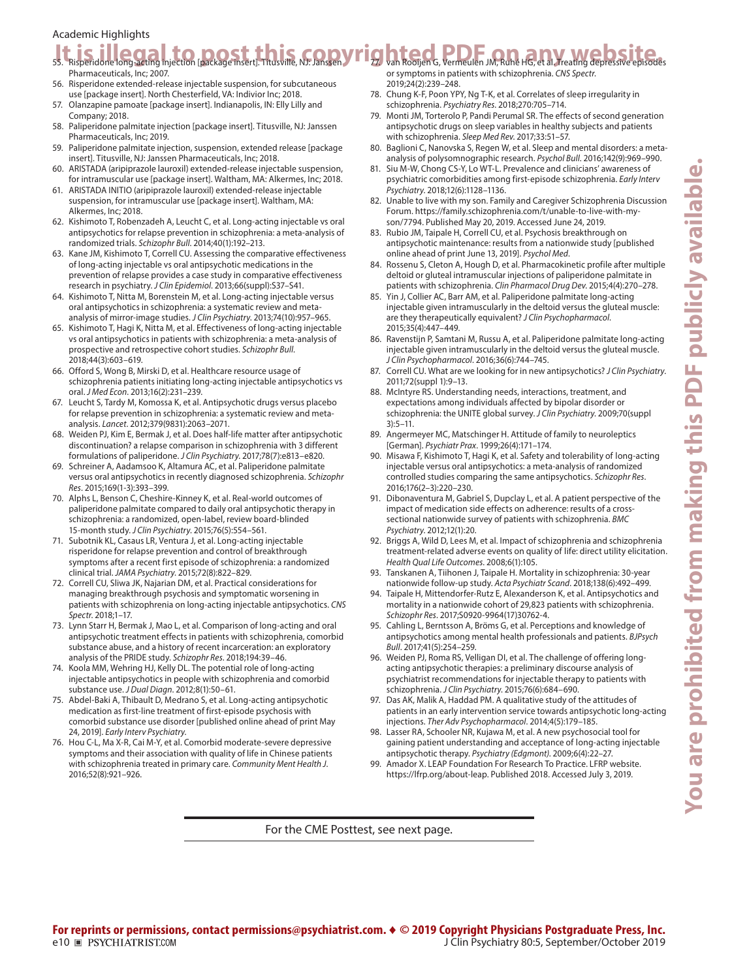# **You are prohibited from making this PDF publicly available.** ou are prohibited from making this PDF publicly available

### Academic Highlights

# **It is individue long galor**, to poort thus ville, NJ: Dans V rig hte od, PDD JM, Ruhé HG, et al. Treating depressive episodes

- Pharmaceuticals, Inc; 2007. 56. Risperidone extended-release injectable suspension, for subcutaneous use [package insert]. North Chesterfield, VA: Indivior Inc; 2018.
- 57. Olanzapine pamoate [package insert]. Indianapolis, IN: Elly Lilly and Company; 2018.
- 58. Paliperidone palmitate injection [package insert]. Titusville, NJ: Janssen Pharmaceuticals, Inc; 2019.
- 59. Paliperidone palmitate injection, suspension, extended release [package insert]. Titusville, NJ: Janssen Pharmaceuticals, Inc; 2018.
- 60. ARISTADA (aripiprazole lauroxil) extended-release injectable suspension, for intramuscular use [package insert]. Waltham, MA: Alkermes, Inc; 2018.
- 61. ARISTADA INITIO (aripiprazole lauroxil) extended-release injectable suspension, for intramuscular use [package insert]. Waltham, MA: Alkermes, Inc; 2018.
- 62. Kishimoto T, Robenzadeh A, Leucht C, et al. Long-acting injectable vs oral antipsychotics for relapse prevention in schizophren[i](https://doi.org/10.1093/schbul/sbs150)a: a meta-analysis of randomized trials. Schizophr Bull. 2014;40(1):192-213.
- 63. Kane JM, Kishimoto T, Correll CU. Assessing the comparative effectiveness of long-acting injectable vs oral antipsychotic medications in the prevention of relapse provides a case study in comparative effectiveness research in psychiatry. *J Clin Epidemiol*. 2013;66(suppl):S37-S41.
- 64. Kishimoto T, Nitta M, Borenstein M, et al. Long-acting injectable versus oral antipsychotics in schizophrenia: a systematic review and metaanalysis of mirror-image studies. *J Clin Psychiatry*. 2013;74(10):957-965.
- 65. Kishimoto T, Hagi K, Nitta M, et al. Effectiveness of long-acting injectable vs oral antipsychotics in patients with schizophrenia: a meta-analysis of prospective and retrospective cohort studies. *Schizophr Bull*. 2018:44(3):603-619.
- 66. Offord S, Wong B, Mirski D, et al. Healthcare resource usage of schizophrenia patients initiating long-acting injectable antipsychotics vs oral. *J Med Econ*. 2013;16(2):231-239.
- 67. Leucht S, Tardy M, Komossa K, et al. Antipsychotic drugs versus placebo for relapse prevention in schizophrenia: a s[y](https://doi.org/10.1016/S0140-6736(12)60239-6)stematic review and metaanalysis. *Lancet*. 2012;379(9831):2063-2071.
- 68. Weiden PJ, Kim E, Bermak J, et al. Does half-life matter after antipsychotic discontinuation? a relapse comparison in schizophrenia with 3 differ[e](https://doi.org/10.4088/JCP.16m11308)nt formulations of paliperidone. *J Clin Psychiatry*. 2017;78(7):e813-e820.
- 69. Schreiner A, Aadamsoo K, Altamura AC, et al. Paliperidone palmitate versus oral antipsychotics in recently diagnosed schizophrenia. *Schizophr*  Res. 2015:169(1-3):393-399.
- 70. Alphs L, Benson C, Cheshire-Kinney K, et al. Real-world outcomes of paliperidone palmitate compared to daily oral antipsychotic therapy in schizophrenia: a randomized, open-label, review board-blinded 15-month study. *J Clin Psychiatry*. 2015;76(5):554-561.
- 71. Subotnik KL, Casaus LR, Ventura J, et al. Long-acting injectable risperidone for relapse prevention and control of breakthrough symptoms after a recent first episode of schizophrenia: a randomized clinical trial. *JAMA Psychiatry*. 2015;72(8):822-829.
- 72. Correll CU, Sliwa JK, Najarian DM, et al. Practical considerations for managing breakthrough psychosis and symptomatic worsening in patients with sch[i](https://doi.org/10.1017/S1092852918001098)zophrenia on long-acting injectable antipsychotics. *CNS Spectr.* 2018:1-17.
- 73. Lynn Starr H, Bermak J, Mao L, et al. Comparison of long-acting and oral antipsychotic treatment effects in patients with schizophrenia, comorbid substance abuse, and a history of recent incarceration: an exploratory analysis of the PRIDE study. Schizophr Res. 2018;194:39-46.
- 74. Koola MM, Wehring HJ, Kelly DL. The potential role of long-acting injectable antipsychotics in people with schizophrenia and comorbid substance use. *J Dual Diagn.* 2012:8(1):50-61.
- 75. Abdel-Baki A, Thibault D, Medrano S, et al. Long-acting antipsychotic medication as first-line treatment of first-episode psychosis with comorbid substance use disord[e](https://doi.org/10.1111/eip.12826)r [published online ahead of print May 24, 2019]. *Early Intery Psychiatry*.
- 76. Hou C-L, Ma X-R, Cai M-Y, et al. Comorbid moderate-severe depressive symptoms and their association with quality of life in Chinese patients with schizophrenia treated in primary care. *Community Ment Health J*. 2016:52(8):921-926.

or symptoms in patients with schizophrenia. *CNS Spectr*. 2019;24(2):239-248.

- 78. Chung K-F, Poon YPY, Ng T-K, et al. Correlates of sleep irregularity in schizophrenia. *Psychiatry Res.* 2018;270:705-714.
- 79. Monti JM, Torterolo P, Pandi Perumal SR. The effects of second generation antipsychotic drugs on sleep variables in healthy [s](https://doi.org/10.1016/j.smrv.2016.05.002)ubjects and patients with schizophrenia. Sleep Med Rev. 2017;33:51-57.
- 80. Baglioni C, Nanovska S, Regen W, et al. Sleep and mental disorders: a metaanalysis of polysomnographic research. *Psychol Bull*. 2016;142(9):969-990.
- Siu M-W, Chong CS-Y, Lo WT-L. Prevalence and clinicians' awareness of psychiatric comorbidities amon[g](https://doi.org/10.1111/eip.12426) first-episode schizophrenia. *Early Interv Psychiatry.* 2018:12(6):1128-1136.
- 82. Unable to live with my son. Family and Caregiver Schizophrenia Discussion Forum. [https://family.schizophrenia.com/t/unable-to-live-with-my](https://family.schizophrenia.com/t/unable-to-live-with-my-son/7794)[son/7794](https://family.schizophrenia.com/t/unable-to-live-with-my-son/7794). Published May 20, 2019. Accessed June 24, 2019.
- 83. Rubio JM, Taipale H, Correll CU, et al. Psychosis breakthrough on antipsychotic maintenance: results from a nation[w](https://doi.org/10.1017/S0033291719001296)ide study [published online ahead of print June 13, 2019]. *Psychol Med*.
- 84. Rossenu S, Cleton A, Hough D, et al. Pharmacokinetic profile after multiple deltoid or gluteal intramuscular injections of paliperidone palmitate in patients with schizophrenia. Clin Pharmacol Drug Dev. 2015;4(4):270-278.
- 85. Yin J, Collier AC, Barr AM, et al. Paliperidone palmitate long-acting injectable given intramuscularly in the deltoid versus the gluteal muscle: are they therapeutically equivalent? *J Clin Psychopharmacol*. 2015;35(4):447-449.
- 86. Ravenstijn P, Samtani M, Russu A, et al. Paliperidone palmitate long-acting injectable given intramuscularly in the deltoid versus the gluteal muscle. *J Clin Psychopharmacol.* 2016:36(6):744-745.
- 87. Correll CU. What are [we](https://doi.org/10.4088/JCP.10075su1.02) looking for in new antipsychotics? *J Clin Psychiatry*. 2011:72(suppl 1):9-13.
- 88. McIntyre RS. Understanding needs, interactions, treatment, and expectations among individuals affected by bipolar disorder or schizophrenia: the UNITE global survey. *J Clin Psychiatry*. 2009;70(suppl  $3$ :5–11.
- 89. Angermeyer MC, Matschinger H. Attitude of family to neuroleptics [German]. Psychiatr Prax. 1999;26(4):171-174.
- 90. Misawa F, Kishimoto T, Hagi K, et al. Safety and tolerability of long-acting injectable versus oral antipsychotics: a meta-analysis of randomized controlled studies comparing the same antipsychotics. *Schizophr Res*. 2016;176(2-3):220-230.
- 91. Dibonaventura M, Gabriel S, Dupclay L, et al. A patient perspective of the impact of medication side effects on adherence: results of a crosssectional nationwide survey of patients with schizophrenia. *BMC Psychiatry.* 2012:12(1):20.
- 92. Briggs A, Wild D, Lees M, et al. Impact of schizophrenia and schizophrenia treatment-related adverse events on qu[a](https://doi.org/10.1186/1477-7525-6-105)lity of life: direct utility elicitation. *Health Qual Life Qutcomes*, 2008;6(1):105.
- 93. Tanskanen A, Tiihonen J, Taipale H. Mortality in schizophrenia: 30-year nationwide follow-up study. *Acta Psychiatr Scand*. 2018;138(6):492-499.
- 94. Taipale H, Mittendorfer-Rutz E, Alexanderson K, et al. Antipsychotics and mortality in a nationwide cohort of 29,823 patients with schizophrenia. Schizophr Res. 2017;S0920-9964(17)30762-4.
- 95. Cahling L, Berntsson A, Bröms G, et al. Perceptions and knowledge of antipsychotics among mental health professionals and patients. *BJPsych Bull.* 2017:41(5):254-259.
- 96. Weiden PJ, Roma RS, Velligan DI, et al. The challenge of offering longacting antipsychotic therapies: a preliminary discourse analysis of psychiatrist recommendations for injectable therapy to patients with schizophrenia. *J Clin Psychiatry*. 2015:76(6):684-690.
- 97. Das AK, Malik A, Haddad PM. A qualitative study of the attitudes of patients in an early intervention service towards antipsy[c](https://doi.org/10.1177/2045125314542098)hotic long-acting injections. *Ther Adv Psychopharmacol*. 2014;4(5):179-185.
- 98. Lasser RA, Schooler NR, Kujawa M, et al. A new psychosocial tool for gaining patient understanding and acceptance of long-acting injectable antipsychotic therapy. *Psychiatry (Edgmont)*. 2009;6(4):22-27.
- Amador X. LEAP Foundation For Research To Practice. LFRP website. <https://lfrp.org/about-leap>. Published 2018. Accessed July 3, 2019.

For the CME Posttest, see next page.